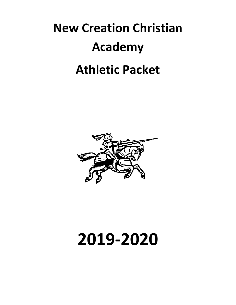# **New Creation Christian Academy Athletic Packet**



# **2019-2020**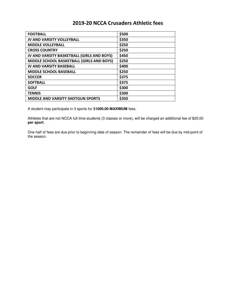## **2019-20 NCCA Crusaders Athletic fees**

| <b>FOOTBALL</b>                            | \$500 |
|--------------------------------------------|-------|
| <b>JV AND VARSITY VOLLEYBALL</b>           | \$350 |
| <b>MIDDLE VOLLEYBALL</b>                   | \$250 |
| <b>CROSS COUNTRY</b>                       | \$250 |
| JV AND VARSITY BASKETBALL (GIRLS AND BOYS) | \$450 |
| MIDDLE SCHOOL BASKETBALL (GIRLS AND BOYS)  | \$250 |
| <b>JV AND VARSITY BASEBALL</b>             | \$400 |
| <b>MIDDLE SCHOOL BASEBALL</b>              | \$250 |
| <b>SOCCER</b>                              | \$375 |
| <b>SOFTBALL</b>                            | \$375 |
| <b>GOLF</b>                                | \$300 |
| <b>TENNIS</b>                              | \$300 |
| <b>MIDDLE AND VARSITY SHOTGUN SPORTS</b>   | \$350 |

A student may participate in 3 sports for \$**1000.00 MAXIMUM** fees.

Athletes that are not NCCA full time students (3 classes or more), will be charged an additional fee of \$25.00 **per sport**.

One half of fees are due prior to beginning date of season. The remainder of fees will be due by mid-point of the season.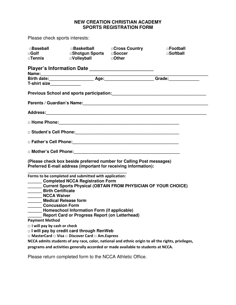#### **NEW CREATION CHRISTIAN ACADEMY SPORTS REGISTRATION FORM**

Please check sports interests:

| $\Box$ Baseball<br>$\Box$ Golf<br>$\square$ Tennis                                                                                          | □Basketball □Cross Country<br>□Shotgun Sports □Soccer<br>□Volleyball □Other |                                                                                                                                                                                         | □Football<br>□Softball                                                                                         |
|---------------------------------------------------------------------------------------------------------------------------------------------|-----------------------------------------------------------------------------|-----------------------------------------------------------------------------------------------------------------------------------------------------------------------------------------|----------------------------------------------------------------------------------------------------------------|
|                                                                                                                                             |                                                                             | Player's Information Date ___________________________                                                                                                                                   |                                                                                                                |
|                                                                                                                                             |                                                                             |                                                                                                                                                                                         |                                                                                                                |
| T-shirt size                                                                                                                                |                                                                             |                                                                                                                                                                                         |                                                                                                                |
|                                                                                                                                             |                                                                             |                                                                                                                                                                                         |                                                                                                                |
|                                                                                                                                             |                                                                             |                                                                                                                                                                                         | Parents / Guardian's Name: Mannell And All Annual Annual Annual Annual Annual Annual Annual Annual Annual Annu |
|                                                                                                                                             |                                                                             |                                                                                                                                                                                         |                                                                                                                |
|                                                                                                                                             |                                                                             |                                                                                                                                                                                         |                                                                                                                |
|                                                                                                                                             |                                                                             |                                                                                                                                                                                         |                                                                                                                |
|                                                                                                                                             |                                                                             |                                                                                                                                                                                         |                                                                                                                |
|                                                                                                                                             |                                                                             |                                                                                                                                                                                         |                                                                                                                |
|                                                                                                                                             |                                                                             | (Please check box beside preferred number for Calling Post messages)<br>Preferred E-mail address (important for receiving information):                                                 |                                                                                                                |
| Forms to be completed and submitted with application:<br>Completed NCCA Registration Form<br><b>Birth Certificate</b><br><b>NCCA Waiver</b> |                                                                             | Current Sports Physical (OBTAIN FROM PHYSICIAN OF YOUR CHOICE)                                                                                                                          |                                                                                                                |
| <b>Medical Release form</b>                                                                                                                 |                                                                             |                                                                                                                                                                                         |                                                                                                                |
| <b>Concussion Form</b>                                                                                                                      |                                                                             |                                                                                                                                                                                         |                                                                                                                |
|                                                                                                                                             | Homeschool Information Form (if applicable)                                 |                                                                                                                                                                                         |                                                                                                                |
|                                                                                                                                             | <b>Report Card or Progress Report (on Letterhead)</b>                       |                                                                                                                                                                                         |                                                                                                                |
| <b>Payment Method</b>                                                                                                                       |                                                                             |                                                                                                                                                                                         |                                                                                                                |
| $\Box$ I will pay by cash or check                                                                                                          |                                                                             |                                                                                                                                                                                         |                                                                                                                |
| □ I will pay by credit card through RenWeb                                                                                                  |                                                                             |                                                                                                                                                                                         |                                                                                                                |
| □ MasterCard □ Visa □ Discover Card □ Am.Express                                                                                            |                                                                             |                                                                                                                                                                                         |                                                                                                                |
|                                                                                                                                             |                                                                             | NCCA admits students of any race, color, national and ethnic origin to all the rights, privileges,<br>programs and activities generally accorded or made available to students at NCCA. |                                                                                                                |
| Please return completed form to the NCCA Athletic Office.                                                                                   |                                                                             |                                                                                                                                                                                         |                                                                                                                |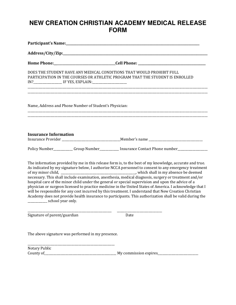# **NEW CREATION CHRISTIAN ACADEMY MEDICAL RELEASE FORM**

| DOES THE STUDENT HAVE ANY MEDICAL CONDITIONS THAT WOULD PROHIBIT FULL<br>PARTICIPATION IN THE COURSES OR ATHLETIC PROGRAM THAT THE STUDENT IS ENROLLED<br><u> 1989 - Johann Stoff, amerikansk politiker (d. 1989)</u> |                                                                                                                                                                                                                                                                                                                                                                                                                                                                                                                                                                                                                                                          |
|-----------------------------------------------------------------------------------------------------------------------------------------------------------------------------------------------------------------------|----------------------------------------------------------------------------------------------------------------------------------------------------------------------------------------------------------------------------------------------------------------------------------------------------------------------------------------------------------------------------------------------------------------------------------------------------------------------------------------------------------------------------------------------------------------------------------------------------------------------------------------------------------|
| Name, Address and Phone Number of Student's Physician:                                                                                                                                                                |                                                                                                                                                                                                                                                                                                                                                                                                                                                                                                                                                                                                                                                          |
| <b>Insurance Information</b>                                                                                                                                                                                          |                                                                                                                                                                                                                                                                                                                                                                                                                                                                                                                                                                                                                                                          |
|                                                                                                                                                                                                                       | Policy Number____________Group Number_____________ Insurance Contact Phone number__________________                                                                                                                                                                                                                                                                                                                                                                                                                                                                                                                                                      |
| hospital care of the minor child under the general or special supervision and upon the advice of a<br>________________ school year only.                                                                              | The information provided by me in this release form is, to the best of my knowledge, accurate and true.<br>As indicated by my signature below, I authorize NCCA personnel to consent to any emergency treatment<br>necessary. This shall include examination, anesthesia, medical diagnosis, surgery or treatment and/or<br>physician or surgeon licensed to practice medicine in the United States of America. I acknowledge that I<br>will be responsible for any cost incurred by this treatment. I understand that New Creation Christian<br>Academy does not provide health insurance to participants. This authorization shall be valid during the |
| Signature of parent/guardian                                                                                                                                                                                          | Date                                                                                                                                                                                                                                                                                                                                                                                                                                                                                                                                                                                                                                                     |
| The above signature was performed in my presence.                                                                                                                                                                     |                                                                                                                                                                                                                                                                                                                                                                                                                                                                                                                                                                                                                                                          |
| Notary Public                                                                                                                                                                                                         |                                                                                                                                                                                                                                                                                                                                                                                                                                                                                                                                                                                                                                                          |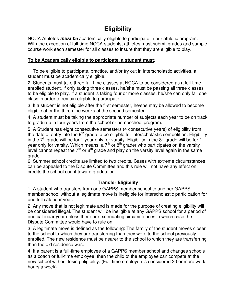# **Eligibility**

NCCA Athletes **must be** academically eligible to participate in our athletic program. With the exception of full-time NCCA students, athletes must submit grades and sample course work each semester for all classes to insure that they are eligible to play.

### **To be Academically eligible to participate, a student must**:

1. To be eligible to participate, practice, and/or try out in interscholastic activities, a student must be academically eligible.

2. Students must take three full-time classes at NCCA to be considered as a full-time enrolled student. If only taking three classes, he/she must be passing all three classes to be eligible to play. If a student is taking four or more classes, he/she can only fail one class in order to remain eligible to participate.

3. If a student is not eligible after the first semester, he/she may be allowed to become eligible after the third nine weeks of the second semester.

4. A student must be taking the appropriate number of subjects each year to be on track to graduate in four years from the school or homeschool program.

5. A Student has eight consecutive semesters (4 consecutive years) of eligibility from the date of entry into the  $9<sup>th</sup>$  grade to be eligible for interscholastic competition. Eligibility in the  $7<sup>th</sup>$  grade will be for 1 year only for varsity. Eligibility in the  $8<sup>th</sup>$  grade will be for 1 year only for varsity. Which means, a  $7<sup>th</sup>$  or  $8<sup>th</sup>$  grader who participates on the varsity level cannot repeat the  $7<sup>th</sup>$  or  $8<sup>th</sup>$  grade and play on the varsity level again in the same grade.

6. Summer school credits are limited to two credits. Cases with extreme circumstances can be appealed to the Dispute Committee and this rule will not have any effect on credits the school count toward graduation.

### **Transfer Eligibility**

1. A student who transfers from one GAPPS member school to another GAPPS member school without a legitimate move is ineligible for interscholastic participation for one full calendar year.

2. Any move that is not legitimate and is made for the purpose of creating eligibility will be considered illegal. The student will be ineligible at any GAPPS school for a period of one calendar year unless there are extenuating circumstances in which case the Dispute Committee would have to rule on.

3. A legitimate move is defined as the following: The family of the student moves closer to the school to which they are transferring than they were to the school previously enrolled. The new residence must be nearer to the school to which they are transferring than the old residence was.

4. If a parent is a full-time employee of a GAPPS member school and changes schools as a coach or full-time employee, then the child of the employee can compete at the new school without losing eligibility. (Full-time employee is considered 20 or more work hours a week)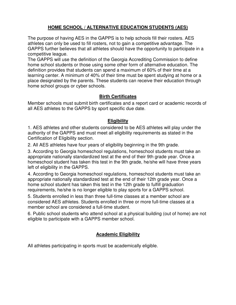## **HOME SCHOOL / ALTERNATIVE EDUCATION STUDENTS (AES)**

The purpose of having AES in the GAPPS is to help schools fill their rosters. AES athletes can only be used to fill rosters, not to gain a competitive advantage. The GAPPS further believes that all athletes should have the opportunity to participate in a competitive league.

The GAPPS will use the definition of the Georgia Accrediting Commission to define home school students or those using some other form of alternative education. The definition provides that students can spend a maximum of 60% of their time at a learning center. A minimum of 40% of their time must be spent studying at home or a place designated by the parents. These students can receive their education through home school groups or cyber schools.

#### **Birth Certificates**

Member schools must submit birth certificates and a report card or academic records of all AES athletes to the GAPPS by sport specific due date.

### **Eligibility**

1. AES athletes and other students considered to be AES athletes will play under the authority of the GAPPS and must meet all eligibility requirements as stated in the Certification of Eligibility section.

2. All AES athletes have four years of eligibility beginning in the 9th grade.

3. According to Georgia homeschool regulations, homeschool students must take an appropriate nationally standardized test at the end of their 9th grade year. Once a homeschool student has taken this test in the 9th grade, he/she will have three years left of eligibility in the GAPPS.

4. According to Georgia homeschool regulations, homeschool students must take an appropriate nationally standardized test at the end of their 12th grade year. Once a home school student has taken this test in the 12th grade to fulfill graduation requirements, he/she is no longer eligible to play sports for a GAPPS school.

5. Students enrolled in less than three full-time classes at a member school are considered AES athletes. Students enrolled in three or more full-time classes at a member school are considered a full-time student.

6. Public school students who attend school at a physical building (out of home) are not eligible to participate with a GAPPS member school.

### **Academic Eligibility**

All athletes participating in sports must be academically eligible.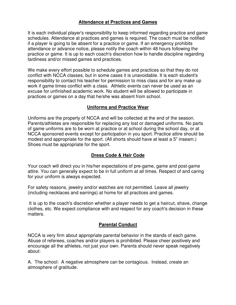#### **Attendance at Practices and Games**

It is each individual player's responsibility to keep informed regarding practice and game schedules. Attendance at practices and games is required. The coach must be notified if a player is going to be absent for a practice or game. If an emergency prohibits attendance or advance notice, please notify the coach within 48 hours following the practice or game. It is up to each coach's discretion how to handle discipline regarding tardiness and/or missed games and practices.

We make every effort possible to schedule games and practices so that they do not conflict with NCCA classes, but in some cases it is unavoidable. It is each student's responsibility to contact his teacher for permission to miss class and for any make up work if game times conflict with a class. Athletic events can never be used as an excuse for unfinished academic work. No student will be allowed to participate in practices or games on a day that he/she was absent from school.

#### **Uniforms and Practice Wear**

Uniforms are the property of NCCA and will be collected at the end of the season. Parents/athletes are responsible for replacing any lost or damaged uniforms. No parts of game uniforms are to be worn at practice or at school during the school day, or at NCCA sponsored events except for participation in you sport. Practice attire should be modest and appropriate for the sport. (All shorts should have at least a 5" inseam.) Shoes must be appropriate for the sport.

#### **Dress Code & Hair Code**

Your coach will direct you in his/her expectations of pre-game, game and post-game attire. You can generally expect to be in full uniform at all times. Respect of and caring for your uniform is always expected.

For safety reasons, jewelry and/or watches are not permitted. Leave all jewelry (including necklaces and earrings) at home for all practices and games.

 It is up to the coach's discretion whether a player needs to get a haircut, shave, change clothes, etc. We expect compliance with and respect for any coach's decision in these matters.

#### **Parental Conduct**

NCCA is very firm about appropriate parental behavior in the stands of each game. Abuse of referees, coaches and/or players is prohibited. Please cheer positively and encourage all the athletes, not just your own. Parents should never speak negatively about:

A. The school: A negative atmosphere can be contagious. Instead, create an atmosphere of gratitude.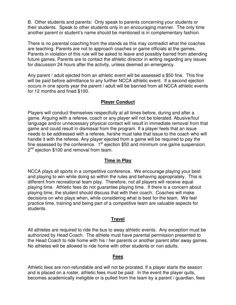B. Other students and parents: Only speak to parents concerning your students or their students. Speak to other students only in an encouraging manner. The only time another parent or student's name should be mentioned is in complementary fashion.

There is no parental coaching from the stands as this may contradict what the coaches are teaching. Parents are not to approach coaches or game officials at the games. Parents in violation of this rule will be asked to leave and possibly barred from attending future games. Parents are to contact the athletic director in writing regarding any issues for discussion 24 hours after the activity, unless deemed an emergency.

Any parent / adult ejected from an athletic event will be assessed a \$50 fine. This fine will be paid before admittance to any further NCCA athletic event. If a second ejection occurs in one sports year the parent / adult will be banned from all NCCA athletic events for 12 months and fined \$100.

#### **Player Conduct**

Players will conduct themselves respectfully at all times before, during and after a game. Arguing with a referee, coach or any player will not be tolerated. Abusive/foul language and/or unnecessary physical contact will result in immediate removal from that game and could result in dismissal from the program. If a player feels that an issue needs to be addressed with a referee, he/she must take that issue to the coach who will handle it with the referee. Any player ejected from a game will be required to pay the fine assessed by the conference.  $1<sup>st</sup>$  ejection \$50 and minimum one game suspension. 2<sup>nd</sup> ejection \$100 and removal from team.

#### **Time in Play**

NCCA plays all sports in a competitive conference. We encourage playing your best and playing to win while doing so within the rules and behaving appropriately. This is different from recreational team play. Therefore, not all players will receive equal playing time. Athletic fees do not guarantee playing time. If there is a concern about playing time, the student should discuss that with their coach. Coaches will make decisions on who plays when, while considering what is best for the team. We feel practice time, training and being part of a competitive team are valuable aspects for students.

#### **Travel**

All athletes are required to ride the bus to away athletic events. Any exception must be authorized by Head Coach. The athlete must have parental permission presented to the Head Coach to ride home with his / her parents or another parent after away games. No athletes will be allowed to ride home with other students or non adults.

#### **Fees**

Athletic fees are non-refundable and will not be prorated. If a player starts the season and is placed on a roster, athletic fees must be paid. In the event the player quits, becomes academically ineligible or is pulled from the team by a parent / guardian, fees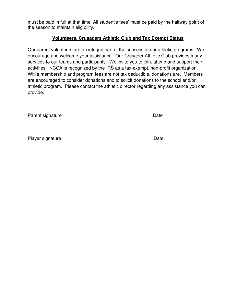must be paid in full at that time. All student's fees' must be paid by the halfway point of the season to maintain eligibility.

#### **Volunteers, Crusaders Athletic Club and Tax Exempt Status**

Our parent volunteers are an integral part of the success of our athletic programs. We encourage and welcome your assistance. Our Crusader Athletic Club provides many services to our teams and participants. We invite you to join, attend and support their activities. NCCA is recognized by the IRS as a tax-exempt, non-profit organization. While membership and program fees are not tax deductible, donations are. Members are encouraged to consider donations and to solicit donations to the school and/or athletic program. Please contact the athletic director regarding any assistance you can provide.

| Parent signature | Date |
|------------------|------|
| Player signature | Date |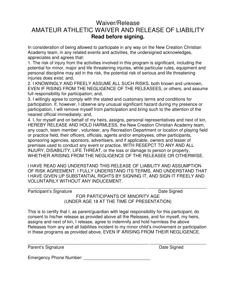## Waiver/Release AMATEUR ATHLETIC WAIVER AND RELEASE OF LIABILITY **Read before signing.**

In consideration of being allowed to participate in any way on the New Creation Christian Academy team, in any related events and activities, the undersigned acknowledges, appreciates and agrees that:

1. The risk of injury from the activities involved in this program is significant, including the potential for minor, major and life threatening injuries, while particular rules, equipment and personal discipline may aid in the risk, the potential risk of serious and life threatening injuries does exist; and,

2. I KNOWINGLY AND FREELY ASSUME ALL SUCH RISKS, both known and unknown, EVEN IF RISING FROM THE NEGLIGENCE OF THE RELEASEES, or others, and assume full responsibility for participation; and,

3. I willingly agree to comply with the stated and customary terms and conditions for participation. If, however, I observe any unusual significant hazard during my presence or participation, I will remove myself from participation and bring such to the attention of the nearest official immediately; and,

4. I, for myself and on behalf of my heirs, assigns, personal representatives and next of kin, HEREBY RELEASE AND HOLD HARMLESS, the New Creation Christian Academy team, any coach, team member , volunteer, any Recreation Department or location of playing field or practice field, their officers, officials, agents and/or employees, other participants, sponsoring agencies, sponsors, advertisers, and if applicable, owners and lesser of premises used to conduct any event or practice, WITH RESEPCT TO ANY AND ALL INJURY, DISABILITY, LIFE THREAT, or the loss or damage to person or property, WHETHER ARISING FROM THE NEGLIGENCE OF THE RELEASEE OR OTHERWISE.

I HAVE READ AND UNDERSTAND THIS RELEASE OF LIABILITY AND ASSUMPTION OF RISK AGREEMENT. I FULLY UNDERSTAND ITS TERMS, AND UNDERSTAND THAT I HAVE GIVEN UP SUBSTANTIAL RIGHTS BY SIGNING IT, AND SIGN IT FREELY AND VOLUNTARILY WITHOUT ANY INDUCEMENT.

\_\_\_\_\_\_\_\_\_\_\_\_\_\_\_\_\_\_\_\_\_\_\_\_\_\_\_\_\_\_\_\_\_\_\_\_\_\_\_\_\_\_\_\_\_\_\_\_ \_\_\_\_\_\_\_\_\_\_\_\_\_\_\_\_\_\_\_\_\_\_\_\_ Participant's Signature **Date Signed** FOR PARTICIPANTS OF MINORITY AGE (UNDER AGE 18 AT THE TIME OF PRESENTATION)

This is to certify that I, as parent/guardian with legal responsibility for this participant, do consent to his/her release as provided above all the Releases, and for myself, my heirs, assigns and next of kin, I release, agree to indemnify and hold harmless the above Releases from any and all liabilities incident to my minor child's involvement or participation in these programs as provided above, EVEN IF ARISING FROM THEIR NEGLIGENCE.

\_\_\_\_\_\_\_\_\_\_\_\_\_\_\_\_\_\_\_\_\_\_\_\_\_\_\_\_\_\_\_\_\_\_\_\_\_\_\_\_\_\_\_\_\_\_\_\_\_ \_\_\_\_\_\_\_\_\_\_\_\_\_\_\_\_\_\_\_\_\_\_\_ Parent's Signature Date Signed

Emergency Phone Number: \_\_\_\_\_\_\_\_\_\_\_\_\_\_\_\_\_\_\_\_\_\_\_\_\_\_\_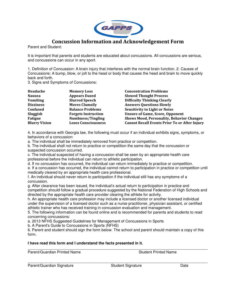

## **Concussion Information and Acknowledgement Form**

Parent and Student:

It is important that parents and students are educated about concussions. All concussions are serious, and concussions can occur in any sport.

1. Definition of Concussion: A brain injury that interferes with the normal brain function. 2. Causes of Concussions: A bump, blow, or jolt to the head or body that causes the head and brain to move quickly back and forth.

3. Signs and Symptoms of Concussions:

| Headache             | <b>Memory Loss</b>         | <b>Concentration Problems</b>                        |
|----------------------|----------------------------|------------------------------------------------------|
| <b>Nausea</b>        | <b>Appears Dazed</b>       | <b>Slowed Thought Process</b>                        |
| <b>Vomiting</b>      | <b>Slurred Speech</b>      | <b>Difficulty Thinking Clearly</b>                   |
| <b>Dizziness</b>     | <b>Moves Clumsily</b>      | <b>Answers Questions Slowly</b>                      |
| <b>Confused</b>      | <b>Balance Problems</b>    | <b>Sensitivity to Light or Noise</b>                 |
| Sluggish             | <b>Forgets Instruction</b> | <b>Unsure of Game, Score, Opponent</b>               |
| Fatigue              | <b>Numbness/Tingling</b>   | <b>Shows Mood, Personality, Behavior Changes</b>     |
| <b>Blurry Vision</b> | <b>Loses Consciousness</b> | <b>Cannot Recall Events Prior To or After Injury</b> |

4. In accordance with Georgia law, the following must occur if an individual exhibits signs, symptoms, or behaviors of a concussion:

a. The individual shall be immediately removed from practice or competition.

b. The individual shall not return to practice or competition the same day that the concussion or suspected concussion occurred.

c. The individual suspected of having a concussion shall be seen by an appropriate health care professional before the individual can return to athletic participation.

d. If no concussion has occurred, the individual can return immediately to practice or competition.

e. If a concussion has occurred, the individual cannot return to participation in practice or competition until medically cleared by an appropriate health care professional.

f. An individual should never return to participation if the individual still has any symptoms of a concussion.

g. After clearance has been issued, the individual's actual return to participation in practice and competition should follow a gradual procedure suggested by the National Federation of High Schools and directed by the appropriate health care provider clearing the athlete for activity.

h. An appropriate health care profession may include a licensed doctor or another licensed individual under the supervision of a licensed doctor such as a nurse practitioner, physician assistant, or certified athletic trainer who has received training in concussion evaluation and management.

5. The following information can be found online and is recommended for parents and students to read concerning concussions:

a. 2013 NFHS Suggested Guidelines for Management of Concussions in Sports

b. A Parent's Guide to Concussions in Sports (NFHS)

6. Parent and student should sign the form below. The school and parent should maintain a copy of this form.

\_\_\_\_\_\_\_\_\_\_\_\_\_\_\_\_\_\_\_\_\_\_\_\_\_\_\_\_\_\_\_\_\_\_\_\_\_\_\_\_\_\_\_\_\_\_\_\_\_\_\_\_\_\_\_\_\_\_\_\_\_\_\_\_\_\_\_\_\_\_\_\_\_\_\_\_\_\_\_\_\_\_\_\_

\_\_\_\_\_\_\_\_\_\_\_\_\_\_\_\_\_\_\_\_\_\_\_\_\_\_\_\_\_\_\_\_\_\_\_\_\_\_\_\_\_\_\_\_\_\_\_\_\_\_\_\_\_\_\_\_\_\_\_\_\_\_\_\_\_\_\_\_\_\_\_\_\_\_\_\_\_\_\_\_\_\_\_\_

#### **I have read this form and I understand the facts presented in it.**

Parent/Guardian Printed Name **Student Printed Name** 

Parent/Guardian Signature **Student Signature** Date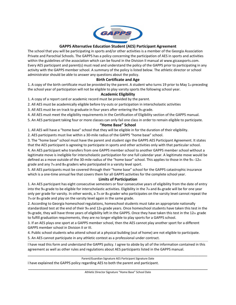

#### **GAPPS Alternative Education Student (AES) Participant Agreement**

The school that you will be participating in sports and/or other activities is a member of the Georgia Association Private and Parochial Schools. The GAPPS has a policy concerning the participation of AES in sports and activities within the guidelines of the association which can be found in the Division II manual at www.gicaasports.com. Every AES participant and parent(s) must read and understand the policy of the GAPPS prior to participating in any activity with the GAPPS member school. A summary of the policy is listed below. The athletic director or school administrator should be able to answer any questions about the policy.

#### **Birth Certificate and Age**

1. A copy of the birth certificate must be provided by the parent. A student who turns 19 prior to May 1 $st$  preceding the school year of participation will not be eligible to play varsity sports the following school year.

#### **Academic Eligibility**

1. A copy of a report card or academic record must be provided by the parent.

2. All AES must be academically eligible before try-outs or participation in interscholastic activities

3. All AES must be on track to graduate in four years after entering the 9th grade.

4. All AES must meet the eligibility requirements in the Certification of Eligibility section of the GAPPS manual.

5. An AES participant taking four or more classes can only fail one class in order to remain eligible to participate.

#### **"Home Base" School**

1. All AES will have a "home base" school that they will be eligible in for the duration of their eligibility.

2. AES participants must live within a 30-mile radius of the GAPPS "home base" school.

3. The "home base" school must have the parent and student sign the GAPPS AES Participant Agreement. It states that the AES participant is agreeing to participate in sports and other activities only with that particular school. 4. An AES participant who transfers from one GAPPS member school to another GAPPS member school without a

legitimate move is ineligible for interscholastic participation for one full calendar year. A legitimate move would be defined as a move outside of the 30-mile radius of the "home base" school. This applies to those in the  $9<sub>th</sub>$ -12th grade and any 7th and 8th graders who participated in a varsity level sport.

5. All AES participants must be covered through their "home base" school for the GAPPS catastrophic insurance which is a one-time annual fee that covers them for all GAPPS activities for the complete school year.

#### **Limits of Participation**

1. An AES participant has eight consecutive semesters or four consecutive years of eligibility from the date of entry into the 9th grade to be eligible for interscholastic activities. Eligibility in the 7th and 8th grade will be for one year only per grade for varsity. In other words, a  $7<sub>th</sub>$  or  $8<sub>th</sub>$  grader who participates on the varsity level cannot repeat the 7th or 8th grade and play on the varsity level again in the same grade.

2. According to Georgia homeschool regulations, homeschool students must take an appropriate nationally standardized test at the end of their 9th and 12th grade years. Once homeschool students have taken this test in the  $9<sub>th</sub>$  grade, they will have three years of eligibility left in the GAPPS. Once they have taken this test in the 12th grade to fulfill graduation requirements, they are no longer eligible to play sports for a GAPPS school.

3. If an AES plays one sport at a GAPPS member school, then the AES cannot play another sport for a different GAPPS member school in Division II or III.

4. Public school students who attend school at a physical building (out of home) are not eligible to participate.

5. An AES cannot participate in any athletic contest as a professional under contract.

**----------------------------------------------------------------------------------------------------------------------------------------------------------------------------------------------------------------------------------------------------------------------------------------------------------------------------------------------------------------------------------------------**  I have read this form and understand the GAPPS policy. I agree to abide by all of the information contained in this agreement as well as other rules and regulations about AES participants listed in the GAPPS manual.

\_\_\_\_\_\_\_\_\_\_\_\_\_\_\_\_\_\_\_\_\_\_\_\_\_\_\_\_\_\_\_\_\_\_\_\_\_\_\_\_\_\_\_\_\_\_\_\_\_\_\_\_\_\_\_\_\_\_\_\_\_\_\_\_\_\_\_\_\_\_\_\_\_\_\_\_\_\_\_\_\_\_\_\_\_

Parent/Guardian Signature AES Participant Signature Date I have explained the GAPPS policy regarding AES to both the parent and participant.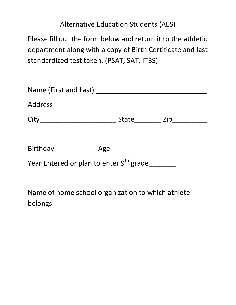# Alternative Education Students (AES)

Please fill out the form below and return it to the athletic department along with a copy of Birth Certificate and last standardized test taken. (PSAT, SAT, ITBS)

| Year Entered or plan to enter 9 <sup>th</sup> grade |  |
|-----------------------------------------------------|--|
| Name of home school organization to which athlete   |  |

belongs\_\_\_\_\_\_\_\_\_\_\_\_\_\_\_\_\_\_\_\_\_\_\_\_\_\_\_\_\_\_\_\_\_\_\_\_\_\_\_\_